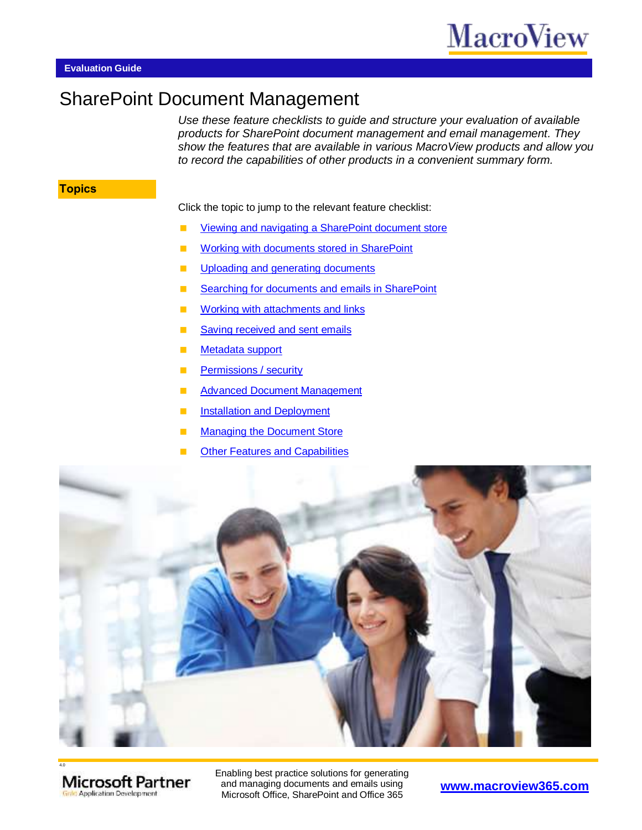# SharePoint Document Management

*Use these feature checklists to guide and structure your evaluation of available products for SharePoint document management and email management. They show the features that are available in various MacroView products and allow you to record the capabilities of other products in a convenient summary form.*

#### **Topics**

Click the topic to jump to the relevant feature checklist:

- [Viewing and navigating a SharePoint document store](#page-1-0)
- **[Working with documents stored in SharePoint](#page-2-0)**
- **[Uploading and generating documents](#page-3-0)**
- [Searching for documents and emails in SharePoint](#page-4-0)
- **[Working with attachments and links](#page-5-0)**
- [Saving received and sent emails](#page-6-0)
- **[Metadata support](#page-7-0)**
- **[Permissions / security](#page-8-0)**
- **[Advanced Document Management](#page-9-0)**
- **[Installation and Deployment](#page-10-0)**
- [Managing the Document Store](#page-10-1)
- **[Other Features and Capabilities](#page-11-0)**





Enabling best practice solutions for generating and managing documents and emails using Microsoft Office, SharePoint and Office 365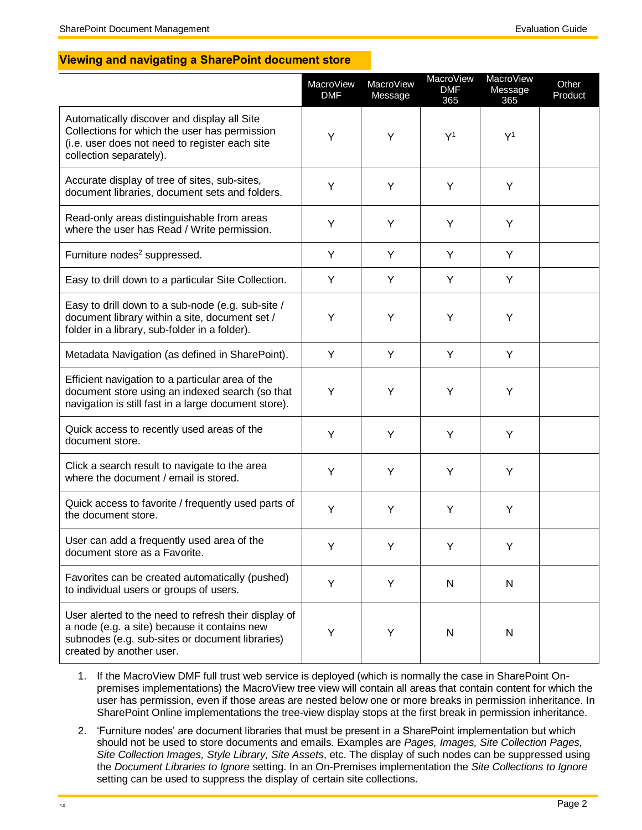#### <span id="page-1-0"></span>**Viewing and navigating a SharePoint document store**

|                                                                                                                                                                                     | MacroView<br><b>DMF</b> | MacroView<br>Message | MacroView<br><b>DMF</b><br>365 | <b>MacroView</b><br>Message<br>365 | Other<br>Product |
|-------------------------------------------------------------------------------------------------------------------------------------------------------------------------------------|-------------------------|----------------------|--------------------------------|------------------------------------|------------------|
| Automatically discover and display all Site<br>Collections for which the user has permission<br>(i.e. user does not need to register each site<br>collection separately).           | Y                       | Y                    | Y <sup>1</sup>                 | Y <sup>1</sup>                     |                  |
| Accurate display of tree of sites, sub-sites,<br>document libraries, document sets and folders.                                                                                     | Y                       | Y                    | Y                              | Y                                  |                  |
| Read-only areas distinguishable from areas<br>where the user has Read / Write permission.                                                                                           | Y                       | Y                    | Y                              | Y                                  |                  |
| Furniture nodes <sup>2</sup> suppressed.                                                                                                                                            | Y                       | Y                    | Y                              | Y                                  |                  |
| Easy to drill down to a particular Site Collection.                                                                                                                                 | Y                       | Y                    | Y                              | Y                                  |                  |
| Easy to drill down to a sub-node (e.g. sub-site /<br>document library within a site, document set /<br>folder in a library, sub-folder in a folder).                                | Y                       | Υ                    | Υ                              | Υ                                  |                  |
| Metadata Navigation (as defined in SharePoint).                                                                                                                                     | Y                       | Υ                    | Υ                              | Υ                                  |                  |
| Efficient navigation to a particular area of the<br>document store using an indexed search (so that<br>navigation is still fast in a large document store).                         | Y                       | Y                    | Υ                              | Υ                                  |                  |
| Quick access to recently used areas of the<br>document store.                                                                                                                       | Υ                       | Υ                    | Υ                              | Υ                                  |                  |
| Click a search result to navigate to the area<br>where the document / email is stored.                                                                                              | Y                       | Y                    | Υ                              | Υ                                  |                  |
| Quick access to favorite / frequently used parts of<br>the document store.                                                                                                          | Y                       | Υ                    | Υ                              | Y                                  |                  |
| User can add a frequently used area of the<br>document store as a Favorite.                                                                                                         | Y                       |                      | Y                              | Y                                  |                  |
| Favorites can be created automatically (pushed)<br>to individual users or groups of users.                                                                                          | Y                       | Y                    | N                              | ${\sf N}$                          |                  |
| User alerted to the need to refresh their display of<br>a node (e.g. a site) because it contains new<br>subnodes (e.g. sub-sites or document libraries)<br>created by another user. | Υ                       | Υ                    | N                              | $\mathsf{N}$                       |                  |

- 1. If the MacroView DMF full trust web service is deployed (which is normally the case in SharePoint Onpremises implementations) the MacroView tree view will contain all areas that contain content for which the user has permission, even if those areas are nested below one or more breaks in permission inheritance. In SharePoint Online implementations the tree-view display stops at the first break in permission inheritance.
- 2. 'Furniture nodes' are document libraries that must be present in a SharePoint implementation but which should not be used to store documents and emails. Examples are *Pages, Images, Site Collection Pages, Site Collection Images, Style Library, Site Assets*, etc. The display of such nodes can be suppressed using the *Document Libraries to Ignore* setting. In an On-Premises implementation the *Site Collections to Ignore* setting can be used to suppress the display of certain site collections.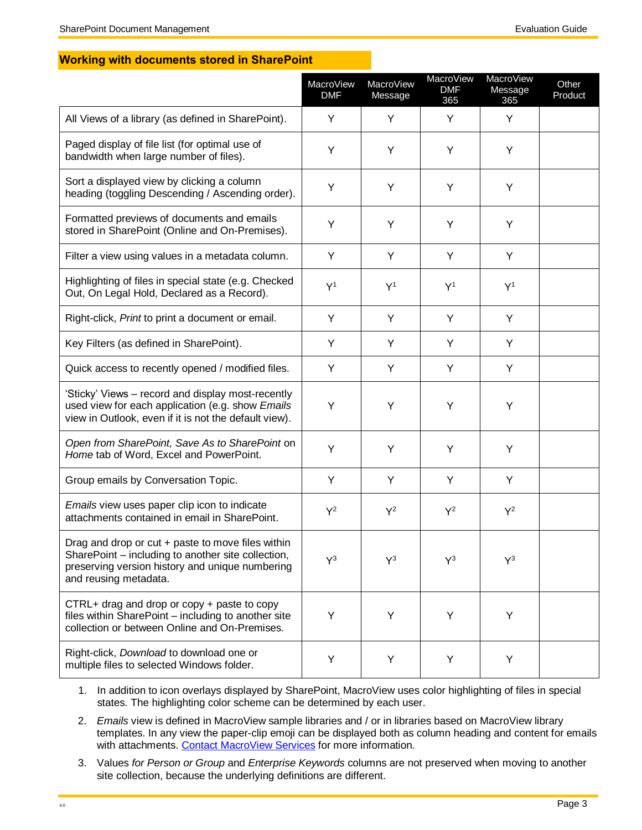#### <span id="page-2-0"></span>**Working with documents stored in SharePoint**

|                                                                                                                                                                                     | MacroView<br><b>DMF</b> | MacroView<br>Message | MacroView<br><b>DMF</b><br>365 | MacroView<br>Message<br>365 | Other<br>Product |
|-------------------------------------------------------------------------------------------------------------------------------------------------------------------------------------|-------------------------|----------------------|--------------------------------|-----------------------------|------------------|
| All Views of a library (as defined in SharePoint).                                                                                                                                  | Y                       | Y                    | Y                              | Y                           |                  |
| Paged display of file list (for optimal use of<br>bandwidth when large number of files).                                                                                            | Y                       | Υ                    | Υ                              | Υ                           |                  |
| Sort a displayed view by clicking a column<br>heading (toggling Descending / Ascending order).                                                                                      | Y                       | Υ                    | Y                              | Υ                           |                  |
| Formatted previews of documents and emails<br>stored in SharePoint (Online and On-Premises).                                                                                        | Y                       | Y                    | Y                              | Υ                           |                  |
| Filter a view using values in a metadata column.                                                                                                                                    | Y                       | Y                    | Y                              | Y                           |                  |
| Highlighting of files in special state (e.g. Checked<br>Out, On Legal Hold, Declared as a Record).                                                                                  | Y <sup>1</sup>          | Y <sup>1</sup>       | Y <sup>1</sup>                 | Y <sup>1</sup>              |                  |
| Right-click, Print to print a document or email.                                                                                                                                    | Y                       | Y                    | Y                              | Y                           |                  |
| Key Filters (as defined in SharePoint).                                                                                                                                             | Y                       | Υ                    | Y                              | Y                           |                  |
| Quick access to recently opened / modified files.                                                                                                                                   | Y                       | Y                    | Y                              | Y                           |                  |
| 'Sticky' Views - record and display most-recently<br>used view for each application (e.g. show Emails<br>view in Outlook, even if it is not the default view).                      | Y                       | Υ                    | Y                              | Y                           |                  |
| Open from SharePoint, Save As to SharePoint on<br>Home tab of Word, Excel and PowerPoint.                                                                                           | Y                       | Y                    | Y                              | Y                           |                  |
| Group emails by Conversation Topic.                                                                                                                                                 | Y                       | Y                    | Y                              | Y                           |                  |
| <i>Emails</i> view uses paper clip icon to indicate<br>attachments contained in email in SharePoint.                                                                                | $Y^2$                   | $Y^2$                | $Y^2$                          | $Y^2$                       |                  |
| Drag and drop or cut + paste to move files within<br>SharePoint – including to another site collection,<br>preserving version history and unique numbering<br>and reusing metadata. | $Y^3$                   | $Y^3$                | $Y^3$                          | $Y^3$                       |                  |
| CTRL+ drag and drop or copy + paste to copy<br>files within SharePoint - including to another site<br>collection or between Online and On-Premises.                                 | Y                       | Υ                    | Υ                              | Y                           |                  |
| Right-click, Download to download one or<br>multiple files to selected Windows folder.                                                                                              | Υ                       | Υ                    | Υ                              | Υ                           |                  |

1. In addition to icon overlays displayed by SharePoint, MacroView uses color highlighting of files in special states. The highlighting color scheme can be determined by each user.

- 2. *Emails* view is defined in MacroView sample libraries and / or in libraries based on MacroView library templates. In any view the paper-clip emoji can be displayed both as column heading and content for emails with attachments. [Contact MacroView Services](mailto:services@macroview365.com) for more information.
- 3. Values *for Person or Group* and *Enterprise Keywords* columns are not preserved when moving to another site collection, because the underlying definitions are different.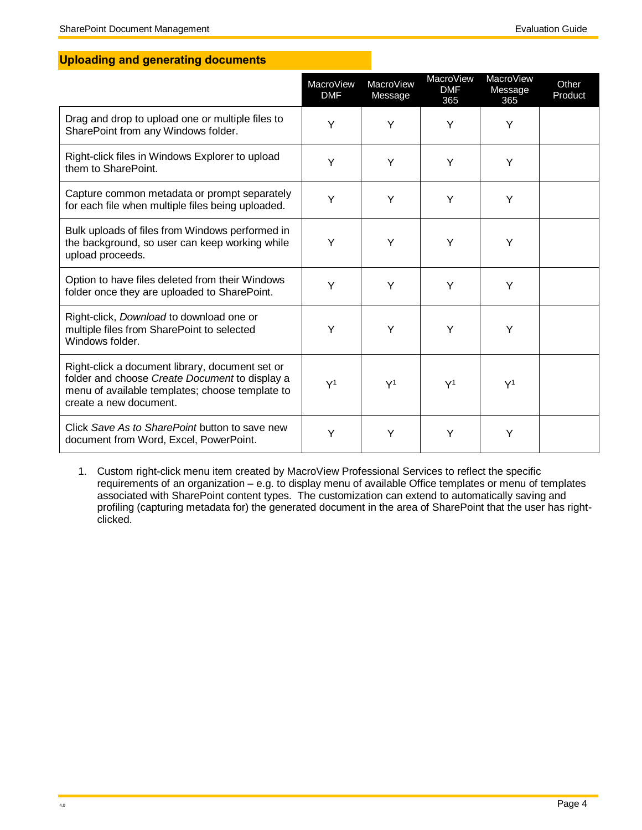### <span id="page-3-0"></span>**Uploading and generating documents**

|                                                                                                                                                                                | MacroView<br><b>DMF</b> | MacroView<br>Message | MacroView<br><b>DMF</b><br>365 | <b>MacroView</b><br>Message<br>365 | Other<br>Product |
|--------------------------------------------------------------------------------------------------------------------------------------------------------------------------------|-------------------------|----------------------|--------------------------------|------------------------------------|------------------|
| Drag and drop to upload one or multiple files to<br>SharePoint from any Windows folder.                                                                                        | Y                       | Y                    | Y                              | Υ                                  |                  |
| Right-click files in Windows Explorer to upload<br>them to SharePoint.                                                                                                         | Y                       | Υ                    | Y                              | Υ                                  |                  |
| Capture common metadata or prompt separately<br>for each file when multiple files being uploaded.                                                                              | Y                       | Y                    | Y                              | Υ                                  |                  |
| Bulk uploads of files from Windows performed in<br>the background, so user can keep working while<br>upload proceeds.                                                          | Y                       | Y                    | Y                              | Υ                                  |                  |
| Option to have files deleted from their Windows<br>folder once they are uploaded to SharePoint.                                                                                | Y                       | Υ                    | Y                              | Υ                                  |                  |
| Right-click, Download to download one or<br>multiple files from SharePoint to selected<br>Windows folder.                                                                      | Y                       | Y                    | Y                              | Υ                                  |                  |
| Right-click a document library, document set or<br>folder and choose Create Document to display a<br>menu of available templates; choose template to<br>create a new document. | Y <sup>1</sup>          | Y <sup>1</sup>       | Y <sup>1</sup>                 | Y <sup>1</sup>                     |                  |
| Click Save As to SharePoint button to save new<br>document from Word, Excel, PowerPoint.                                                                                       | Y                       | Y                    | Y                              | Y                                  |                  |

1. Custom right-click menu item created by MacroView Professional Services to reflect the specific requirements of an organization – e.g. to display menu of available Office templates or menu of templates associated with SharePoint content types. The customization can extend to automatically saving and profiling (capturing metadata for) the generated document in the area of SharePoint that the user has rightclicked.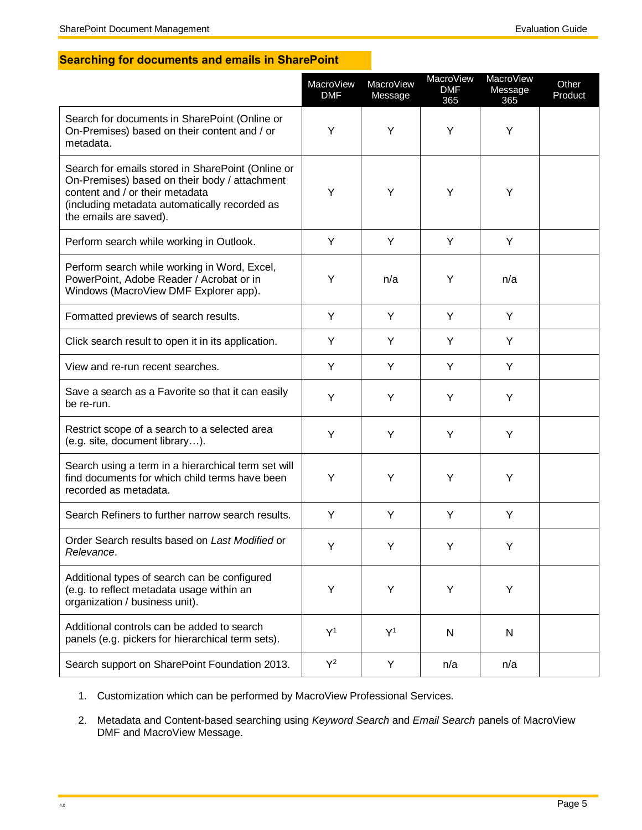### <span id="page-4-0"></span>**Searching for documents and emails in SharePoint**

|                                                                                                                                                                                                                  | MacroView<br><b>DMF</b> | MacroView<br>Message | MacroView<br><b>DMF</b><br>365 | <b>MacroView</b><br>Message<br>365 | Other<br>Product |
|------------------------------------------------------------------------------------------------------------------------------------------------------------------------------------------------------------------|-------------------------|----------------------|--------------------------------|------------------------------------|------------------|
| Search for documents in SharePoint (Online or<br>On-Premises) based on their content and / or<br>metadata.                                                                                                       | Y                       | Y                    | Υ                              | Y                                  |                  |
| Search for emails stored in SharePoint (Online or<br>On-Premises) based on their body / attachment<br>content and / or their metadata<br>(including metadata automatically recorded as<br>the emails are saved). | Y                       | Y                    | Υ                              | Υ                                  |                  |
| Perform search while working in Outlook.                                                                                                                                                                         | Y                       | Y                    | Y                              | Y                                  |                  |
| Perform search while working in Word, Excel,<br>PowerPoint, Adobe Reader / Acrobat or in<br>Windows (MacroView DMF Explorer app).                                                                                | Y                       | n/a                  | Y                              | n/a                                |                  |
| Formatted previews of search results.                                                                                                                                                                            | Y                       | Y                    | Y                              | Y                                  |                  |
| Click search result to open it in its application.                                                                                                                                                               | Y                       | Y                    | Y                              | Y                                  |                  |
| View and re-run recent searches.                                                                                                                                                                                 | Y                       | Y                    | Y                              | Y                                  |                  |
| Save a search as a Favorite so that it can easily<br>be re-run.                                                                                                                                                  | Y                       | Y                    | Υ                              | Υ                                  |                  |
| Restrict scope of a search to a selected area<br>(e.g. site, document library).                                                                                                                                  | Y                       | Y                    | Υ                              | Υ                                  |                  |
| Search using a term in a hierarchical term set will<br>find documents for which child terms have been<br>recorded as metadata.                                                                                   | Y                       | Υ                    | Υ                              | Υ                                  |                  |
| Search Refiners to further narrow search results.                                                                                                                                                                | Y                       | Υ                    | Y                              | Υ                                  |                  |
| Order Search results based on Last Modified or<br>Relevance.                                                                                                                                                     | Y                       |                      | Y                              | Y                                  |                  |
| Additional types of search can be configured<br>(e.g. to reflect metadata usage within an<br>organization / business unit).                                                                                      | Υ                       | Υ                    | Υ                              | Υ                                  |                  |
| Additional controls can be added to search<br>panels (e.g. pickers for hierarchical term sets).                                                                                                                  | Y <sup>1</sup>          | Y <sup>1</sup>       | $\mathsf{N}$                   | $\mathsf{N}$                       |                  |
| Search support on SharePoint Foundation 2013.                                                                                                                                                                    | $Y^2$                   | Y                    | n/a                            | n/a                                |                  |

- 1. Customization which can be performed by MacroView Professional Services.
- 2. Metadata and Content-based searching using *Keyword Search* and *Email Search* panels of MacroView DMF and MacroView Message.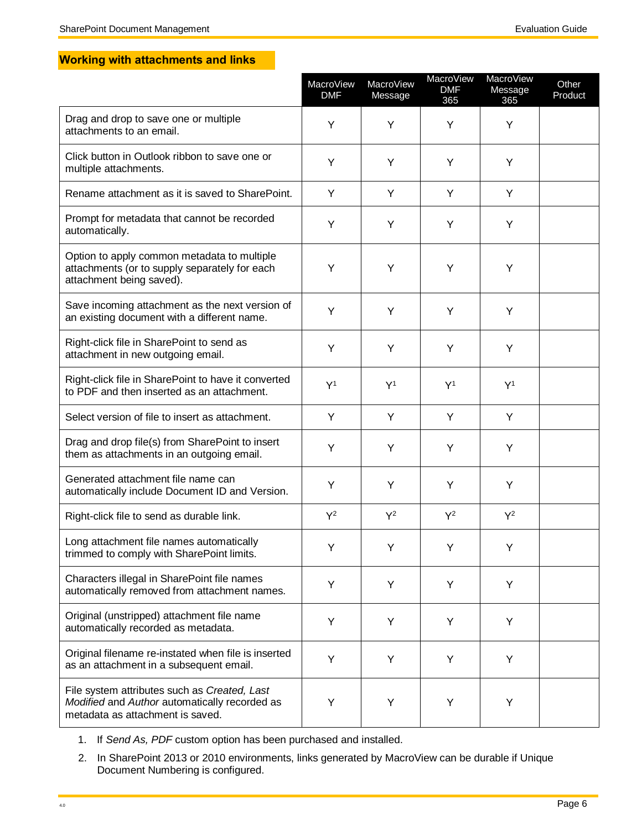### <span id="page-5-0"></span>**Working with attachments and links**

|                                                                                                                                   | MacroView<br><b>DMF</b> | MacroView<br>Message | MacroView<br><b>DMF</b><br>365 | MacroView<br>Message<br>365 | Other<br>Product |
|-----------------------------------------------------------------------------------------------------------------------------------|-------------------------|----------------------|--------------------------------|-----------------------------|------------------|
| Drag and drop to save one or multiple<br>attachments to an email.                                                                 | Y                       | Υ                    | Υ                              | Y                           |                  |
| Click button in Outlook ribbon to save one or<br>multiple attachments.                                                            | Y                       | Υ                    | Υ                              | Y                           |                  |
| Rename attachment as it is saved to SharePoint.                                                                                   | Y                       | Y                    | Y                              | Y                           |                  |
| Prompt for metadata that cannot be recorded<br>automatically.                                                                     | Y                       | Y                    | Y                              | Y                           |                  |
| Option to apply common metadata to multiple<br>attachments (or to supply separately for each<br>attachment being saved).          | Y                       | Y                    | Y                              | Y                           |                  |
| Save incoming attachment as the next version of<br>an existing document with a different name.                                    | Y                       | Y                    | Y                              | Y                           |                  |
| Right-click file in SharePoint to send as<br>attachment in new outgoing email.                                                    | Y                       | Y                    | Y                              | Y                           |                  |
| Right-click file in SharePoint to have it converted<br>to PDF and then inserted as an attachment.                                 | Y <sup>1</sup>          | Y <sup>1</sup>       | Y <sup>1</sup>                 | $Y^1$                       |                  |
| Select version of file to insert as attachment.                                                                                   | Y                       | Y                    | Y                              | Y                           |                  |
| Drag and drop file(s) from SharePoint to insert<br>them as attachments in an outgoing email.                                      | Y                       | Y                    | Υ                              | Υ                           |                  |
| Generated attachment file name can<br>automatically include Document ID and Version.                                              | Υ                       | Y                    | Υ                              | Υ                           |                  |
| Right-click file to send as durable link.                                                                                         | $Y^2$                   | $Y^2$                | $Y^2$                          | $Y^2$                       |                  |
| Long attachment file names automatically<br>trimmed to comply with SharePoint limits.                                             | Y                       | Y                    | Y                              | Y                           |                  |
| Characters illegal in SharePoint file names<br>automatically removed from attachment names.                                       | Y                       | Υ                    | Υ                              | Υ                           |                  |
| Original (unstripped) attachment file name<br>automatically recorded as metadata.                                                 | Υ                       | Y                    | Y                              | Y                           |                  |
| Original filename re-instated when file is inserted<br>as an attachment in a subsequent email.                                    | Y                       | Y                    | Υ                              | Υ                           |                  |
| File system attributes such as Created, Last<br>Modified and Author automatically recorded as<br>metadata as attachment is saved. | Υ                       | Υ                    | Υ                              | Υ                           |                  |

- 1. If *Send As, PDF* custom option has been purchased and installed.
- 2. In SharePoint 2013 or 2010 environments, links generated by MacroView can be durable if Unique Document Numbering is configured.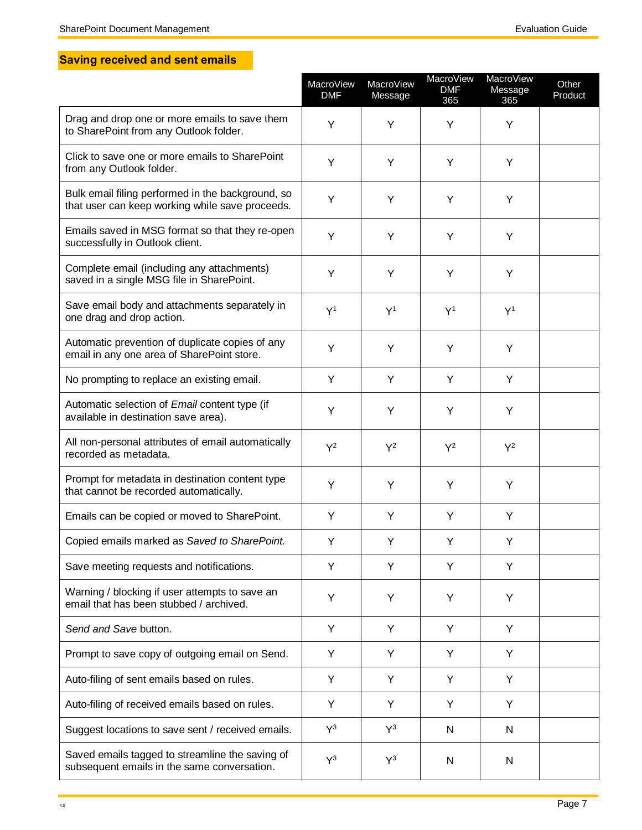## <span id="page-6-0"></span>**Saving received and sent emails**

|                                                                                                      | MacroView<br><b>DMF</b> | MacroView<br>Message | MacroView<br><b>DMF</b><br>365 | MacroView<br>Message<br>365 | Other<br>Product |
|------------------------------------------------------------------------------------------------------|-------------------------|----------------------|--------------------------------|-----------------------------|------------------|
| Drag and drop one or more emails to save them<br>to SharePoint from any Outlook folder.              | Y                       | Y                    | Y                              | Y                           |                  |
| Click to save one or more emails to SharePoint<br>from any Outlook folder.                           | Y                       | Υ                    | Υ                              | Y                           |                  |
| Bulk email filing performed in the background, so<br>that user can keep working while save proceeds. | Y                       | Y                    | Y                              | Y                           |                  |
| Emails saved in MSG format so that they re-open<br>successfully in Outlook client.                   | Y                       | Y                    | Y                              | Y                           |                  |
| Complete email (including any attachments)<br>saved in a single MSG file in SharePoint.              | Y                       | Υ                    | Υ                              | Y                           |                  |
| Save email body and attachments separately in<br>one drag and drop action.                           | Y <sup>1</sup>          | Y <sup>1</sup>       | Y <sup>1</sup>                 | Y <sup>1</sup>              |                  |
| Automatic prevention of duplicate copies of any<br>email in any one area of SharePoint store.        | Y                       | Υ                    | Υ                              | Y                           |                  |
| No prompting to replace an existing email.                                                           | Y                       | Υ                    | Υ                              | Y                           |                  |
| Automatic selection of Email content type (if<br>available in destination save area).                | Υ                       | Υ                    | Υ                              | Υ                           |                  |
| All non-personal attributes of email automatically<br>recorded as metadata.                          | $Y^2$                   | $Y^2$                | $Y^2$                          | $Y^2$                       |                  |
| Prompt for metadata in destination content type<br>that cannot be recorded automatically.            | Y                       | Y                    | Υ                              | Y                           |                  |
| Emails can be copied or moved to SharePoint.                                                         | Y                       | Υ                    | Υ                              | Y                           |                  |
| Copied emails marked as Saved to SharePoint.                                                         | Υ                       | Y                    | Υ                              | Υ                           |                  |
| Save meeting requests and notifications.                                                             | Y                       | Y                    | Y                              | Y                           |                  |
| Warning / blocking if user attempts to save an<br>email that has been stubbed / archived.            | Y                       | Υ                    | Υ                              | Υ                           |                  |
| Send and Save button.                                                                                | Y                       | Y                    | Y                              | Y                           |                  |
| Prompt to save copy of outgoing email on Send.                                                       | Y                       | Y                    | Y                              | Y                           |                  |
| Auto-filing of sent emails based on rules.                                                           | Y                       | Y                    | Y                              | Y                           |                  |
| Auto-filing of received emails based on rules.                                                       | Y                       | Y                    | Y                              | Y                           |                  |
| Suggest locations to save sent / received emails.                                                    | $Y^3$                   | $Y^3$                | $\mathsf{N}$                   | N                           |                  |
| Saved emails tagged to streamline the saving of<br>subsequent emails in the same conversation.       | $Y^3$                   | $Y^3$                | N                              | N                           |                  |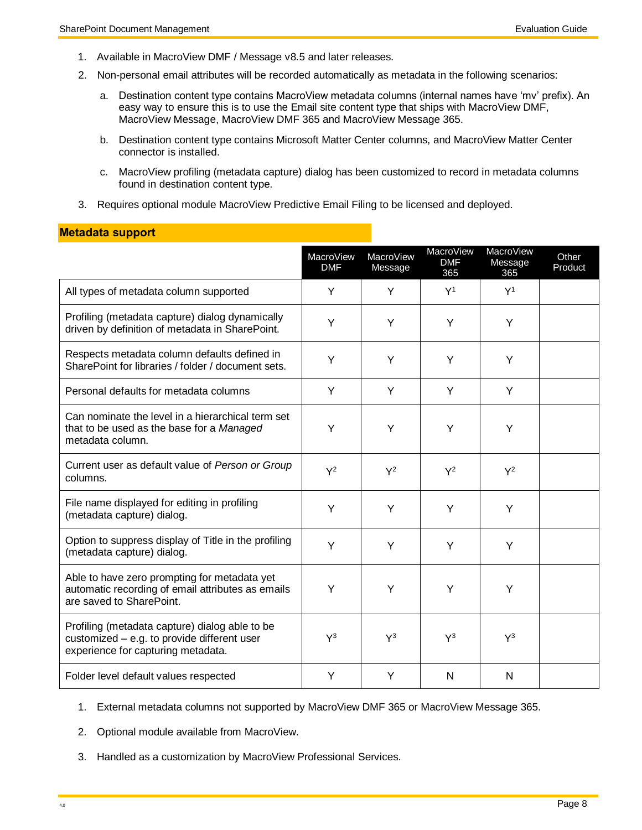<span id="page-7-0"></span>**Metadata support**

- 1. Available in MacroView DMF / Message v8.5 and later releases.
- 2. Non-personal email attributes will be recorded automatically as metadata in the following scenarios:
	- a. Destination content type contains MacroView metadata columns (internal names have 'mv' prefix). An easy way to ensure this is to use the Email site content type that ships with MacroView DMF, MacroView Message, MacroView DMF 365 and MacroView Message 365.
	- b. Destination content type contains Microsoft Matter Center columns, and MacroView Matter Center connector is installed.
	- c. MacroView profiling (metadata capture) dialog has been customized to record in metadata columns found in destination content type.
- 3. Requires optional module MacroView Predictive Email Filing to be licensed and deployed.

| nowaaw oappon                                                                                                                       |                         |                      |                                       |                                    |                  |
|-------------------------------------------------------------------------------------------------------------------------------------|-------------------------|----------------------|---------------------------------------|------------------------------------|------------------|
|                                                                                                                                     | MacroView<br><b>DMF</b> | MacroView<br>Message | <b>MacroView</b><br><b>DMF</b><br>365 | <b>MacroView</b><br>Message<br>365 | Other<br>Product |
| All types of metadata column supported                                                                                              | Y                       | Y                    | Y <sup>1</sup>                        | Y <sup>1</sup>                     |                  |
| Profiling (metadata capture) dialog dynamically<br>driven by definition of metadata in SharePoint.                                  | Y                       | Y                    | Y                                     | Y                                  |                  |
| Respects metadata column defaults defined in<br>SharePoint for libraries / folder / document sets.                                  | Y                       | Y                    | Y                                     | Y                                  |                  |
| Personal defaults for metadata columns                                                                                              | Y                       | Y                    | Y                                     | Y                                  |                  |
| Can nominate the level in a hierarchical term set<br>that to be used as the base for a Managed<br>metadata column.                  | Y                       | Y                    | Y                                     | Y                                  |                  |
| Current user as default value of Person or Group<br>columns.                                                                        | $Y^2$                   | $Y^2$                | $Y^2$                                 | $Y^2$                              |                  |
| File name displayed for editing in profiling<br>(metadata capture) dialog.                                                          | Y                       | Y                    | Y                                     | Y                                  |                  |
| Option to suppress display of Title in the profiling<br>(metadata capture) dialog.                                                  | Y                       | Y                    | Y                                     | Y                                  |                  |
| Able to have zero prompting for metadata yet<br>automatic recording of email attributes as emails<br>are saved to SharePoint.       | Y                       | Y                    | Y                                     | Υ                                  |                  |
| Profiling (metadata capture) dialog able to be<br>customized - e.g. to provide different user<br>experience for capturing metadata. | $Y^3$                   | $Y^3$                | $Y^3$                                 | $Y^3$                              |                  |
| Folder level default values respected                                                                                               | Y                       | Y                    | N                                     | N                                  |                  |

- 1. External metadata columns not supported by MacroView DMF 365 or MacroView Message 365.
- 2. Optional module available from MacroView.
- 3. Handled as a customization by MacroView Professional Services.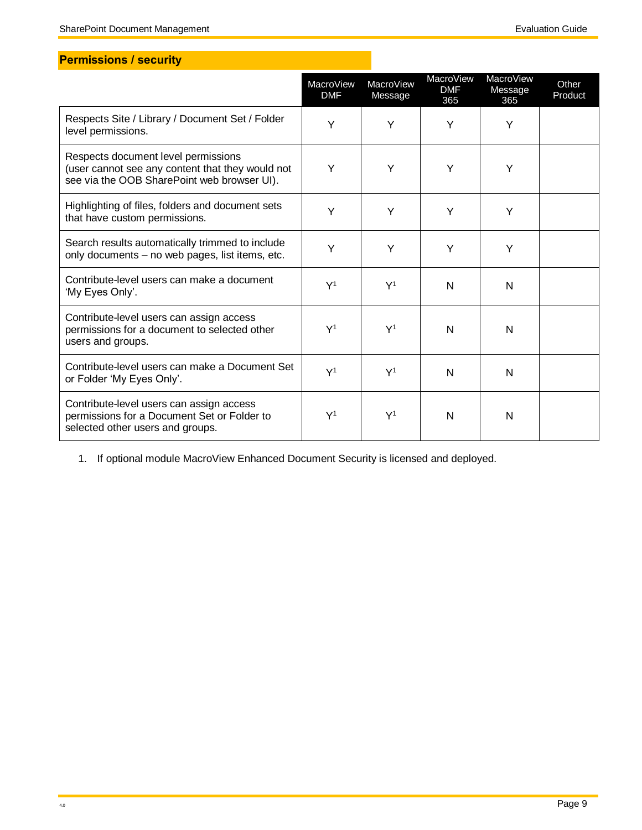## <span id="page-8-0"></span>**Permissions / security**

|                                                                                                                                        | <b>MacroView</b><br><b>DMF</b> | MacroView<br>Message | MacroView<br><b>DMF</b><br>365 | <b>MacroView</b><br>Message<br>365 | Other<br>Product |
|----------------------------------------------------------------------------------------------------------------------------------------|--------------------------------|----------------------|--------------------------------|------------------------------------|------------------|
| Respects Site / Library / Document Set / Folder<br>level permissions.                                                                  | Y                              | Y                    | Υ                              | Y                                  |                  |
| Respects document level permissions<br>(user cannot see any content that they would not<br>see via the OOB SharePoint web browser UI). | Υ                              | Y                    | Y                              | Y                                  |                  |
| Highlighting of files, folders and document sets<br>that have custom permissions.                                                      | Υ                              | Y                    | Υ                              | Y                                  |                  |
| Search results automatically trimmed to include<br>only documents - no web pages, list items, etc.                                     | Y                              | Y                    | Y                              | Y                                  |                  |
| Contribute-level users can make a document<br>'My Eyes Only'.                                                                          | Y <sup>1</sup>                 | Y <sup>1</sup>       | N                              | N                                  |                  |
| Contribute-level users can assign access<br>permissions for a document to selected other<br>users and groups.                          | Y <sup>1</sup>                 | Y <sup>1</sup>       | N                              | N                                  |                  |
| Contribute-level users can make a Document Set<br>or Folder 'My Eyes Only'.                                                            | Y <sup>1</sup>                 | Y <sup>1</sup>       | N                              | N                                  |                  |
| Contribute-level users can assign access<br>permissions for a Document Set or Folder to<br>selected other users and groups.            | Y <sup>1</sup>                 | Y <sup>1</sup>       | N                              | N                                  |                  |

1. If optional module MacroView Enhanced Document Security is licensed and deployed.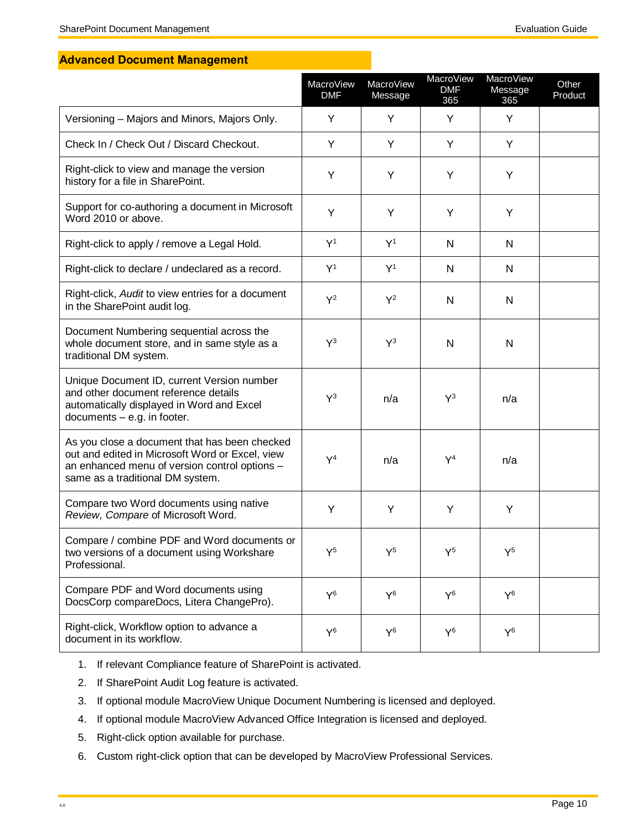### <span id="page-9-0"></span>**Advanced Document Management**

|                                                                                                                                                                                       | <b>MacroView</b><br><b>DMF</b> | MacroView<br>Message | MacroView<br><b>DMF</b><br>365 | MacroView<br>Message<br>365 | Other<br>Product |
|---------------------------------------------------------------------------------------------------------------------------------------------------------------------------------------|--------------------------------|----------------------|--------------------------------|-----------------------------|------------------|
| Versioning - Majors and Minors, Majors Only.                                                                                                                                          | Y                              | Y                    | Y                              | Y                           |                  |
| Check In / Check Out / Discard Checkout.                                                                                                                                              | Y                              | Y                    | Y                              | Y                           |                  |
| Right-click to view and manage the version<br>history for a file in SharePoint.                                                                                                       | Y                              | Y                    | Y                              | Y                           |                  |
| Support for co-authoring a document in Microsoft<br>Word 2010 or above.                                                                                                               | Y                              | Y                    | Y                              | Y                           |                  |
| Right-click to apply / remove a Legal Hold.                                                                                                                                           | Y <sup>1</sup>                 | Y <sup>1</sup>       | N                              | N                           |                  |
| Right-click to declare / undeclared as a record.                                                                                                                                      | Y <sup>1</sup>                 | $Y^1$                | N                              | N                           |                  |
| Right-click, Audit to view entries for a document<br>in the SharePoint audit log.                                                                                                     | $Y^2$                          | $Y^2$                | N                              | N                           |                  |
| Document Numbering sequential across the<br>whole document store, and in same style as a<br>traditional DM system.                                                                    | $Y^3$                          | $Y^3$                | N                              | N                           |                  |
| Unique Document ID, current Version number<br>and other document reference details<br>automatically displayed in Word and Excel<br>documents $-$ e.g. in footer.                      | $Y^3$                          | n/a                  | $Y^3$                          | n/a                         |                  |
| As you close a document that has been checked<br>out and edited in Microsoft Word or Excel, view<br>an enhanced menu of version control options -<br>same as a traditional DM system. | $Y^4$                          | n/a                  | $Y^4$                          | n/a                         |                  |
| Compare two Word documents using native<br>Review, Compare of Microsoft Word.                                                                                                         | Y                              | Y                    | Y                              | Y                           |                  |
| Compare / combine PDF and Word documents or<br>two versions of a document using Workshare<br>Professional.                                                                            | $Y^5$                          | $Y^5$                | $Y^5$                          | $Y^5$                       |                  |
| Compare PDF and Word documents using<br>DocsCorp compareDocs, Litera ChangePro).                                                                                                      | $Y^6$                          | $Y^6$                | $Y^6$                          | $Y^6$                       |                  |
| Right-click, Workflow option to advance a<br>document in its workflow.                                                                                                                | $Y^6$                          | $Y^6$                | $Y^6$                          | $Y^6$                       |                  |

- 1. If relevant Compliance feature of SharePoint is activated.
- 2. If SharePoint Audit Log feature is activated.
- 3. If optional module MacroView Unique Document Numbering is licensed and deployed.
- 4. If optional module MacroView Advanced Office Integration is licensed and deployed.
- 5. Right-click option available for purchase.
- 6. Custom right-click option that can be developed by MacroView Professional Services.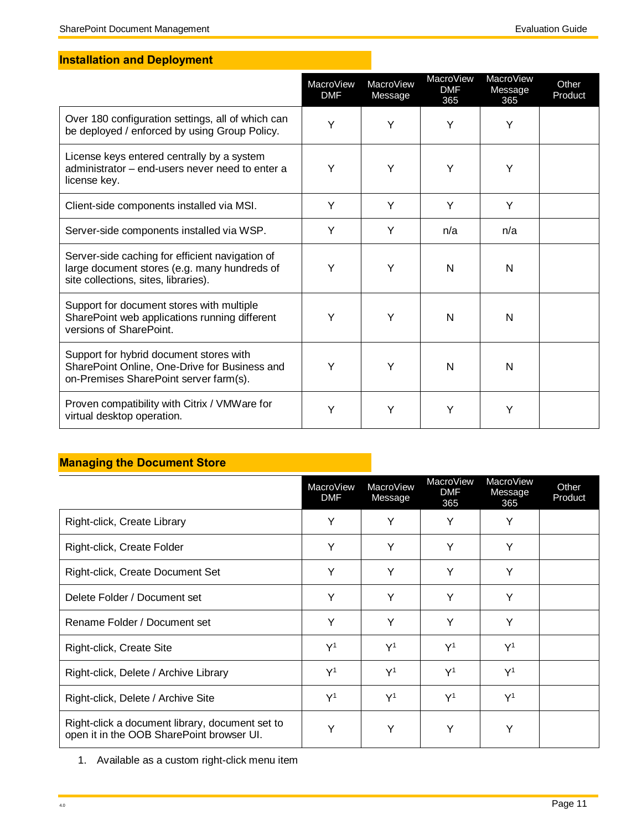## <span id="page-10-0"></span>**Installation and Deployment**

|                                                                                                                                         | MacroView<br><b>DMF</b> | MacroView<br>Message | <b>MacroView</b><br><b>DMF</b><br>365 | <b>MacroView</b><br>Message<br>365 | Other<br>Product |
|-----------------------------------------------------------------------------------------------------------------------------------------|-------------------------|----------------------|---------------------------------------|------------------------------------|------------------|
| Over 180 configuration settings, all of which can<br>be deployed / enforced by using Group Policy.                                      | Y                       | Y                    | Υ                                     | Y                                  |                  |
| License keys entered centrally by a system<br>administrator - end-users never need to enter a<br>license key.                           | Y                       | Y                    | Y                                     | Υ                                  |                  |
| Client-side components installed via MSI.                                                                                               | Υ                       | Y                    | Y                                     | Y                                  |                  |
| Server-side components installed via WSP.                                                                                               | Y                       | Y                    | n/a                                   | n/a                                |                  |
| Server-side caching for efficient navigation of<br>large document stores (e.g. many hundreds of<br>site collections, sites, libraries). | Y                       | Y                    | N                                     | N                                  |                  |
| Support for document stores with multiple<br>SharePoint web applications running different<br>versions of SharePoint.                   | Y                       | Y                    | N                                     | N                                  |                  |
| Support for hybrid document stores with<br>SharePoint Online, One-Drive for Business and<br>on-Premises SharePoint server farm(s).      | Y                       | Υ                    | N                                     | N                                  |                  |
| Proven compatibility with Citrix / VMW are for<br>virtual desktop operation.                                                            | Y                       | Y                    | Y                                     | Y                                  |                  |

## <span id="page-10-1"></span>**Managing the Document Store**

|                                                                                              | MacroView<br><b>DMF</b> | MacroView<br>Message | MacroView<br><b>DMF</b><br>365 | MacroView<br>Message<br>365 | Other<br>Product |
|----------------------------------------------------------------------------------------------|-------------------------|----------------------|--------------------------------|-----------------------------|------------------|
| Right-click, Create Library                                                                  | Υ                       | Y                    | Y                              | Y                           |                  |
| Right-click, Create Folder                                                                   | Υ                       | Y                    | Y                              | Y                           |                  |
| Right-click, Create Document Set                                                             | Y                       | Y                    | Υ                              | Y                           |                  |
| Delete Folder / Document set                                                                 | Y                       | Υ                    | Y                              | Y                           |                  |
| Rename Folder / Document set                                                                 | Y                       | Y                    | Υ                              | Υ                           |                  |
| Right-click, Create Site                                                                     | Y <sup>1</sup>          | Y <sup>1</sup>       | Y <sup>1</sup>                 | Y <sup>1</sup>              |                  |
| Right-click, Delete / Archive Library                                                        | Y <sup>1</sup>          | Y <sup>1</sup>       | Y <sup>1</sup>                 | Y <sup>1</sup>              |                  |
| Right-click, Delete / Archive Site                                                           | Y <sup>1</sup>          | $\mathsf{Y}^1$       | Y <sup>1</sup>                 | Y <sup>1</sup>              |                  |
| Right-click a document library, document set to<br>open it in the OOB SharePoint browser UI. | Y                       | Y                    | Y                              | Y                           |                  |

1. Available as a custom right-click menu item